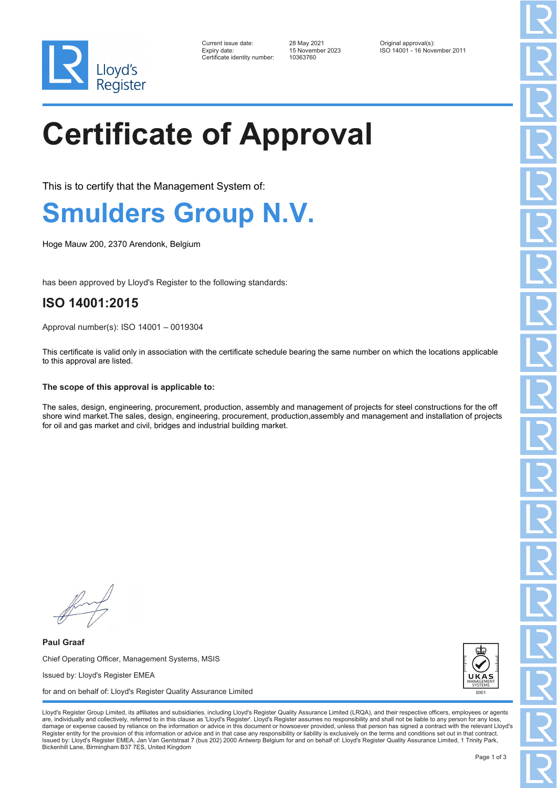

| Current issue date:          |  |
|------------------------------|--|
| Expiry date:                 |  |
| Certificate identity number: |  |

Certificate identity number: 10363760

Current issue date: 28 May 2021 Original approval(s): Expiry date: 15 November 2023 ISO 14001 - 16 November 2011

# **Certificate of Approval**

This is to certify that the Management System of:

### **Smulders Group N.V.**

Hoge Mauw 200, 2370 Arendonk, Belgium

has been approved by Lloyd's Register to the following standards:

### **ISO 14001:2015**

Approval number(s): ISO 14001 – 0019304

This certificate is valid only in association with the certificate schedule bearing the same number on which the locations applicable to this approval are listed.

#### **The scope of this approval is applicable to:**

The sales, design, engineering, procurement, production, assembly and management of projects for steel constructions for the off shore wind market.The sales, design, engineering, procurement, production,assembly and management and installation of projects for oil and gas market and civil, bridges and industrial building market.

**Paul Graaf** Chief Operating Officer, Management Systems, MSIS Issued by: Lloyd's Register EMEA for and on behalf of: Lloyd's Register Quality Assurance Limited



Lloyd's Register Group Limited, its affiliates and subsidiaries, including Lloyd's Register Quality Assurance Limited (LRQA), and their respective officers, employees or agents are, individually and collectively, referred to in this clause as 'Lloyd's Register'. Lloyd's Register assumes no responsibility and shall not be liable to any person for any los damage or expense caused by reliance on the information or advice in this document or howsoever provided, unless that person has signed a contract with the relevant Lloyd's<br>Register entity for the provision of this informa Issued by: Lloyd's Register EMEA, Jan Van Gentstraat 7 (bus 202) 2000 Antwerp Belgium for and on behalf of: Lloyd's Register Quality Assurance Limited, 1 Trinity Park, Bickenhill Lane, Birmingham B37 7ES, United Kingdom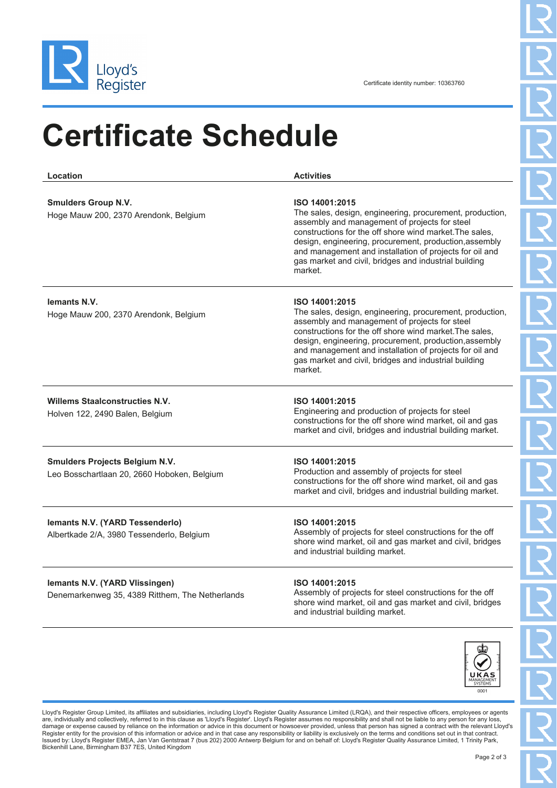

## **Certificate Schedule**

**Location Activities Smulders Group N.V.** Hoge Mauw 200, 2370 Arendonk, Belgium **ISO 14001:2015** The sales, design, engineering, procurement, production, assembly and management of projects for steel constructions for the off shore wind market.The sales, design, engineering, procurement, production,assembly and management and installation of projects for oil and gas market and civil, bridges and industrial building market. **Iemants N.V.** Hoge Mauw 200, 2370 Arendonk, Belgium **ISO 14001:2015** The sales, design, engineering, procurement, production, assembly and management of projects for steel constructions for the off shore wind market.The sales, design, engineering, procurement, production,assembly and management and installation of projects for oil and gas market and civil, bridges and industrial building market. **Willems Staalconstructies N.V.** Holven 122, 2490 Balen, Belgium **ISO 14001:2015** Engineering and production of projects for steel constructions for the off shore wind market, oil and gas market and civil, bridges and industrial building market. **Smulders Projects Belgium N.V.** Leo Bosschartlaan 20, 2660 Hoboken, Belgium **ISO 14001:2015** Production and assembly of projects for steel constructions for the off shore wind market, oil and gas market and civil, bridges and industrial building market. **Iemants N.V. (YARD Tessenderlo)** Albertkade 2/A, 3980 Tessenderlo, Belgium **ISO 14001:2015** Assembly of projects for steel constructions for the off shore wind market, oil and gas market and civil, bridges and industrial building market. **Iemants N.V. (YARD Vlissingen)** Denemarkenweg 35, 4389 Ritthem, The Netherlands **ISO 14001:2015** Assembly of projects for steel constructions for the off



shore wind market, oil and gas market and civil, bridges

and industrial building market.

Lloyd's Register Group Limited, its affiliates and subsidiaries, including Lloyd's Register Quality Assurance Limited (LRQA), and their respective officers, employees or agents are, individually and collectively, referred to in this clause as 'Lloyd's Register'. Lloyd's Register assumes no responsibility and shall not be liable to any person for any lo damage or expense caused by reliance on the information or advice in this document or howsoever provided, unless that person has signed a contract with the relevant Lloyd's<br>Register entity for the provision of this informa Issued by: Lloyd's Register EMEA, Jan Van Gentstraat 7 (bus 202) 2000 Antwerp Belgium for and on behalf of: Lloyd's Register Quality Assurance Limited, 1 Trinity Park, Bickenhill Lane, Birmingham B37 7ES, United Kingdom